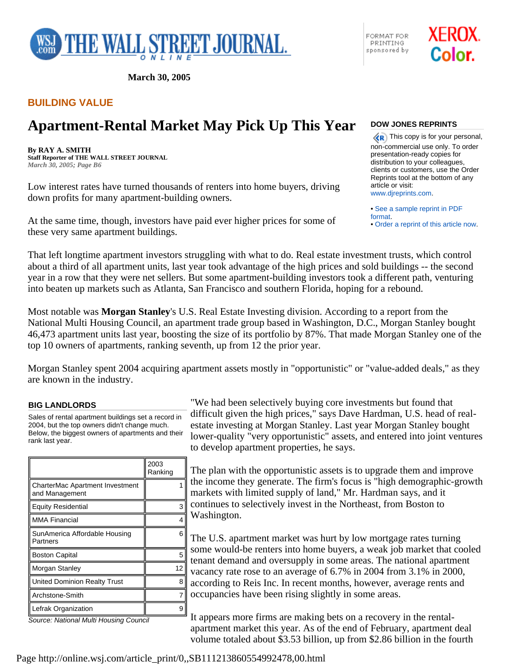

**March 30, 2005** 

## **BUILDING VALUE**

# **Apartment-Rental Market May Pick Up This Year**

**By RAY A. SMITH Staff Reporter of THE WALL STREET JOURNAL** *March 30, 2005; Page B6*

Low interest rates have turned thousands of renters into home buyers, driving down profits for many apartment-building owners.

At the same time, though, investors have paid ever higher prices for some of these very same apartment buildings.

### **DOW JONES REPRINTS**

FORMAT FOR

PRINTING

sponsored by

 $\langle \langle \mathbf{R} \rangle$  This copy is for your personal, non-commercial use only. To order presentation-ready copies for distribution to your colleagues, clients or customers, use the Order Reprints tool at the bottom of any article or visit: www.djreprints.com.

XEROX.

Color.

• See a sample reprint in PDF format.

• Order a reprint of this article now.

That left longtime apartment investors struggling with what to do. Real estate investment trusts, which control about a third of all apartment units, last year took advantage of the high prices and sold buildings -- the second year in a row that they were net sellers. But some apartment-building investors took a different path, venturing into beaten up markets such as Atlanta, San Francisco and southern Florida, hoping for a rebound.

Most notable was **Morgan Stanley**'s U.S. Real Estate Investing division. According to a report from the National Multi Housing Council, an apartment trade group based in Washington, D.C., Morgan Stanley bought 46,473 apartment units last year, boosting the size of its portfolio by 87%. That made Morgan Stanley one of the top 10 owners of apartments, ranking seventh, up from 12 the prior year.

Morgan Stanley spent 2004 acquiring apartment assets mostly in "opportunistic" or "value-added deals," as they are known in the industry.

#### **BIG LANDLORDS**

Sales of rental apartment buildings set a record in 2004, but the top owners didn't change much. Below, the biggest owners of apartments and their rank last year.

|                                                          | 2003<br>Ranking |
|----------------------------------------------------------|-----------------|
| <b>CharterMac Apartment Investment</b><br>and Management |                 |
| Equity Residential                                       | з               |
| <b>MMA Financial</b>                                     |                 |
| SunAmerica Affordable Housing<br>Partners                | 6               |
| <b>Boston Capital</b>                                    | 5               |
| Morgan Stanley                                           | 12              |
| United Dominion Realty Trust                             | Զ               |
| Archstone-Smith                                          |                 |
| Lefrak Organization                                      | 9               |

*Source: National Multi Housing Council*

"We had been selectively buying core investments but found that difficult given the high prices," says Dave Hardman, U.S. head of realestate investing at Morgan Stanley. Last year Morgan Stanley bought lower-quality "very opportunistic" assets, and entered into joint ventures to develop apartment properties, he says.

The plan with the opportunistic assets is to upgrade them and improve the income they generate. The firm's focus is "high demographic-growth markets with limited supply of land," Mr. Hardman says, and it continues to selectively invest in the Northeast, from Boston to Washington.

The U.S. apartment market was hurt by low mortgage rates turning some would-be renters into home buyers, a weak job market that cooled tenant demand and oversupply in some areas. The national apartment vacancy rate rose to an average of 6.7% in 2004 from 3.1% in 2000, according to Reis Inc. In recent months, however, average rents and occupancies have been rising slightly in some areas.

It appears more firms are making bets on a recovery in the rentalapartment market this year. As of the end of February, apartment deal volume totaled about \$3.53 billion, up from \$2.86 billion in the fourth